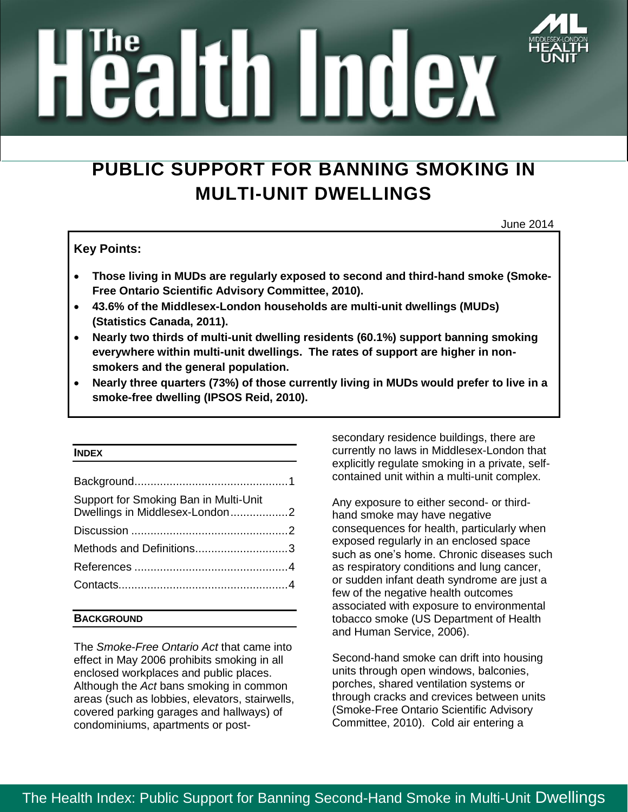# ealtin Index

# **PUBLIC SUPPORT FOR BANNING SMOKING IN MULTI-UNIT DWELLINGS**

June 2014

# **Key Points:**

- **Those living in MUDs are regularly exposed to second and third-hand smoke (Smoke-Free Ontario Scientific Advisory Committee, 2010).**
- **43.6% of the Middlesex-London households are multi-unit dwellings (MUDs) (Statistics Canada, 2011).**
- **Nearly two thirds of multi-unit dwelling residents (60.1%) support banning smoking everywhere within multi-unit dwellings. The rates of support are higher in nonsmokers and the general population.**
- **Nearly three quarters (73%) of those currently living in MUDs would prefer to live in a smoke-free dwelling (IPSOS Reid, 2010).**

#### **INDEX**

| Support for Smoking Ban in Multi-Unit<br>Dwellings in Middlesex-London2 |  |
|-------------------------------------------------------------------------|--|
|                                                                         |  |
| Methods and Definitions3                                                |  |
|                                                                         |  |
|                                                                         |  |

## **BACKGROUND**

The *Smoke-Free Ontario Act* that came into effect in May 2006 prohibits smoking in all enclosed workplaces and public places. Although the *Act* bans smoking in common areas (such as lobbies, elevators, stairwells, covered parking garages and hallways) of condominiums, apartments or postsecondary residence buildings, there are currently no laws in Middlesex-London that explicitly regulate smoking in a private, selfcontained unit within a multi-unit complex.

Any exposure to either second- or thirdhand smoke may have negative consequences for health, particularly when exposed regularly in an enclosed space such as one's home. Chronic diseases such as respiratory conditions and lung cancer, or sudden infant death syndrome are just a few of the negative health outcomes associated with exposure to environmental tobacco smoke (US Department of Health and Human Service, 2006).

Second-hand smoke can drift into housing units through open windows, balconies, porches, shared ventilation systems or through cracks and crevices between units (Smoke-Free Ontario Scientific Advisory Committee, 2010). Cold air entering a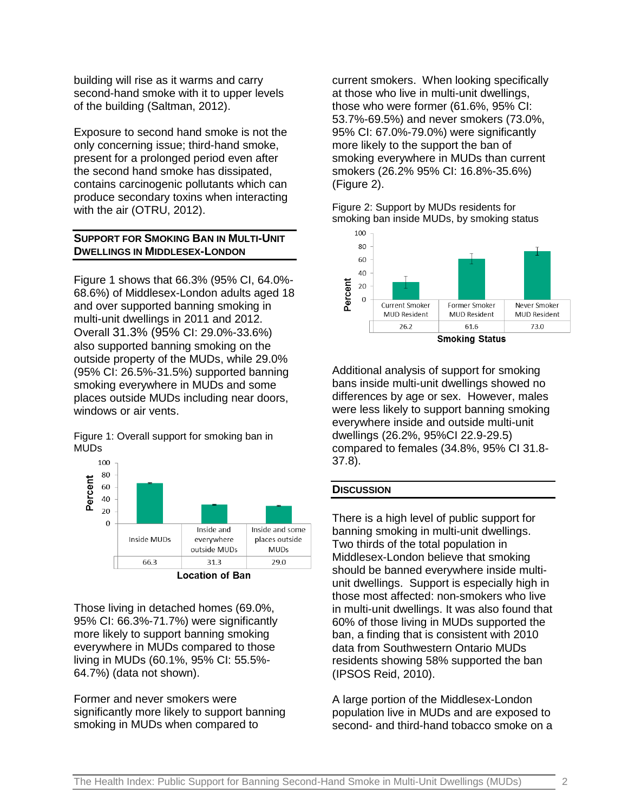building will rise as it warms and carry second-hand smoke with it to upper levels of the building (Saltman, 2012).

Exposure to second hand smoke is not the only concerning issue; third-hand smoke, present for a prolonged period even after the second hand smoke has dissipated, contains carcinogenic pollutants which can produce secondary toxins when interacting with the air (OTRU, 2012).

# <span id="page-1-0"></span>**SUPPORT FOR SMOKING BAN IN MULTI-UNIT DWELLINGS IN MIDDLESEX-LONDON**

Figure 1 shows that 66.3% (95% CI, 64.0%- 68.6%) of Middlesex-London adults aged 18 and over supported banning smoking in multi-unit dwellings in 2011 and 2012. Overall 31.3% (95% CI: 29.0%-33.6%) also supported banning smoking on the outside property of the MUDs, while 29.0% (95% CI: 26.5%-31.5%) supported banning smoking everywhere in MUDs and some places outside MUDs including near doors, windows or air vents.

Figure 1: Overall support for smoking ban in MUDs



Those living in detached homes (69.0%, 95% CI: 66.3%-71.7%) were significantly more likely to support banning smoking everywhere in MUDs compared to those living in MUDs (60.1%, 95% CI: 55.5%- 64.7%) (data not shown).

Former and never smokers were significantly more likely to support banning smoking in MUDs when compared to

current smokers. When looking specifically at those who live in multi-unit dwellings, those who were former (61.6%, 95% CI: 53.7%-69.5%) and never smokers (73.0%, 95% CI: 67.0%-79.0%) were significantly more likely to the support the ban of smoking everywhere in MUDs than current smokers (26.2% 95% CI: 16.8%-35.6%) (Figure 2).

Figure 2: Support by MUDs residents for smoking ban inside MUDs, by smoking status



Additional analysis of support for smoking bans inside multi-unit dwellings showed no differences by age or sex. However, males were less likely to support banning smoking everywhere inside and outside multi-unit dwellings (26.2%, 95%CI 22.9-29.5) compared to females (34.8%, 95% CI 31.8- 37.8).

## <span id="page-1-1"></span>**DISCUSSION**

There is a high level of public support for banning smoking in multi-unit dwellings. Two thirds of the total population in Middlesex-London believe that smoking should be banned everywhere inside multiunit dwellings. Support is especially high in those most affected: non-smokers who live in multi-unit dwellings. It was also found that 60% of those living in MUDs supported the ban, a finding that is consistent with 2010 data from Southwestern Ontario MUDs residents showing 58% supported the ban (IPSOS Reid, 2010).

A large portion of the Middlesex-London population live in MUDs and are exposed to second- and third-hand tobacco smoke on a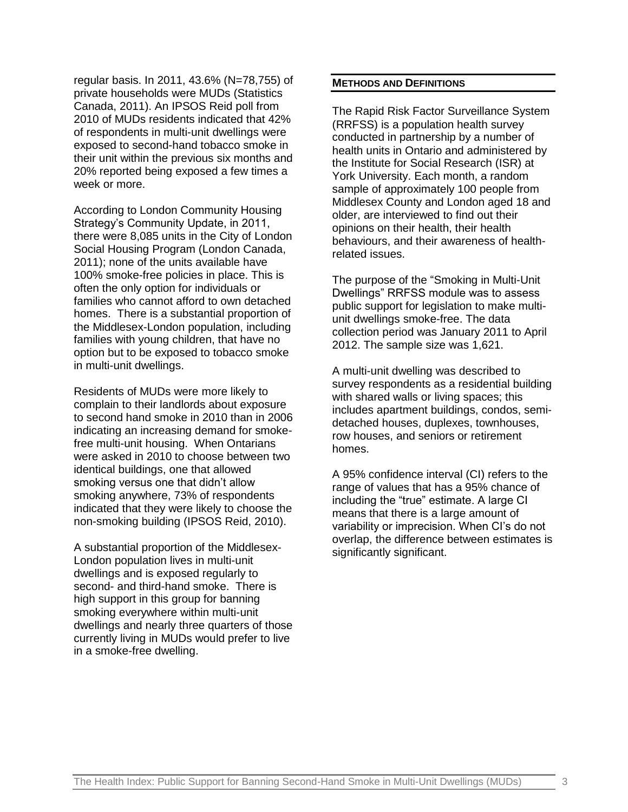regular basis. In 2011, 43.6% (N=78,755) of private households were MUDs (Statistics Canada, 2011). An IPSOS Reid poll from 2010 of MUDs residents indicated that 42% of respondents in multi-unit dwellings were exposed to second-hand tobacco smoke in their unit within the previous six months and 20% reported being exposed a few times a week or more.

According to London Community Housing Strategy's Community Update, in 2011, there were 8,085 units in the City of London Social Housing Program (London Canada, 2011); none of the units available have 100% smoke-free policies in place. This is often the only option for individuals or families who cannot afford to own detached homes. There is a substantial proportion of the Middlesex-London population, including families with young children, that have no option but to be exposed to tobacco smoke in multi-unit dwellings.

Residents of MUDs were more likely to complain to their landlords about exposure to second hand smoke in 2010 than in 2006 indicating an increasing demand for smokefree multi-unit housing. When Ontarians were asked in 2010 to choose between two identical buildings, one that allowed smoking versus one that didn't allow smoking anywhere, 73% of respondents indicated that they were likely to choose the non-smoking building (IPSOS Reid, 2010).

A substantial proportion of the Middlesex-London population lives in multi-unit dwellings and is exposed regularly to second- and third-hand smoke. There is high support in this group for banning smoking everywhere within multi-unit dwellings and nearly three quarters of those currently living in MUDs would prefer to live in a smoke-free dwelling.

#### <span id="page-2-0"></span>**METHODS AND DEFINITIONS**

The Rapid Risk Factor Surveillance System (RRFSS) is a population health survey conducted in partnership by a number of health units in Ontario and administered by the Institute for Social Research (ISR) at York University. Each month, a random sample of approximately 100 people from Middlesex County and London aged 18 and older, are interviewed to find out their opinions on their health, their health behaviours, and their awareness of healthrelated issues.

The purpose of the "Smoking in Multi-Unit Dwellings" RRFSS module was to assess public support for legislation to make multiunit dwellings smoke-free. The data collection period was January 2011 to April 2012. The sample size was 1,621.

A multi-unit dwelling was described to survey respondents as a residential building with shared walls or living spaces; this includes apartment buildings, condos, semidetached houses, duplexes, townhouses, row houses, and seniors or retirement homes.

A 95% confidence interval (CI) refers to the range of values that has a 95% chance of including the "true" estimate. A large CI means that there is a large amount of variability or imprecision. When CI's do not overlap, the difference between estimates is significantly significant.